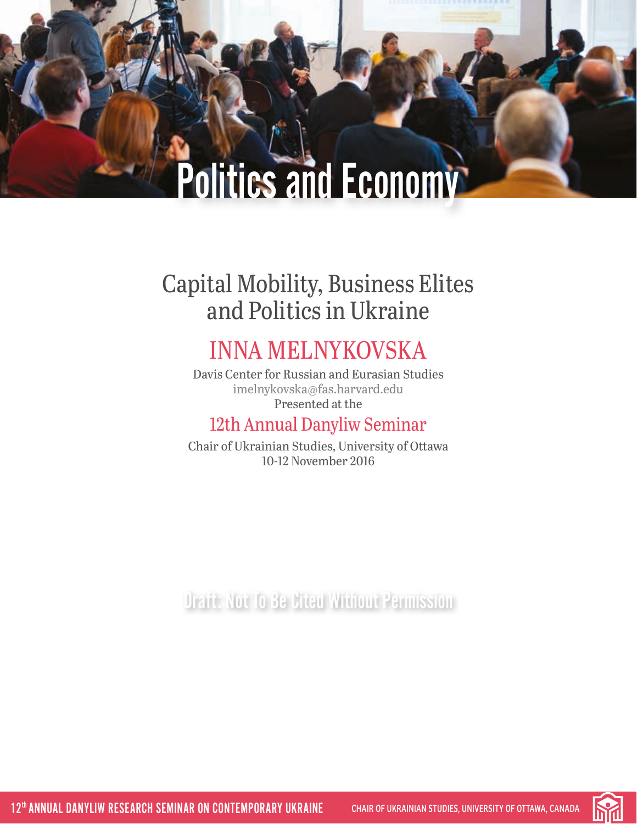# Capital Mobility, Business Elites and Politics in Ukraine

# INNA MELNYKOVSKA

Davis Center for Russian and Eurasian Studies [imelnykovska@fas.harvard.edu](mailto:imelnykovska%40fas.harvard.edu?subject=) Presented at the

### 12th Annual Danyliw Seminar

Chair of Ukrainian Studies, University of Ottawa 10-12 November 2016

Draft: Not To Be Cited Without Permission

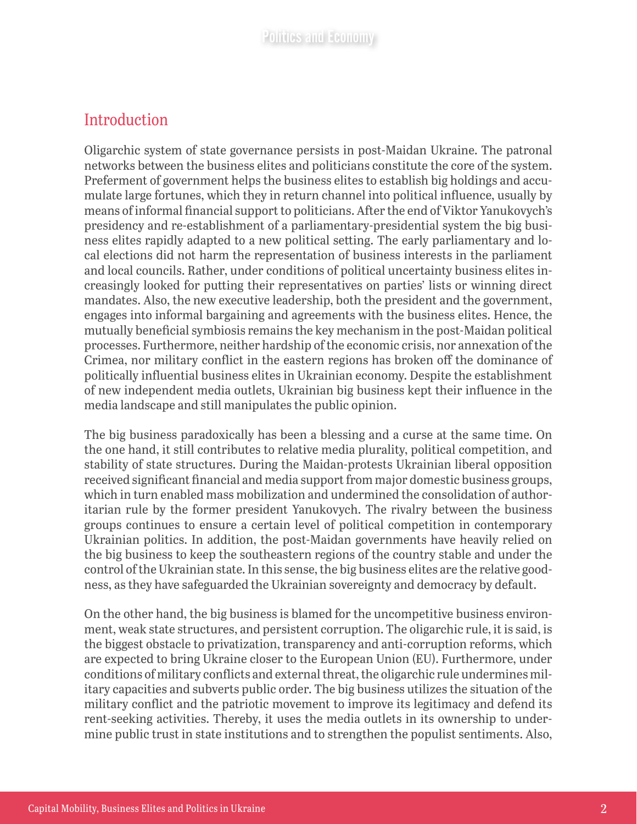#### Introduction

Oligarchic system of state governance persists in post-Maidan Ukraine. The patronal networks between the business elites and politicians constitute the core of the system. Preferment of government helps the business elites to establish big holdings and accumulate large fortunes, which they in return channel into political influence, usually by means of informal financial support to politicians. After the end of Viktor Yanukovych's presidency and re-establishment of a parliamentary-presidential system the big business elites rapidly adapted to a new political setting. The early parliamentary and local elections did not harm the representation of business interests in the parliament and local councils. Rather, under conditions of political uncertainty business elites increasingly looked for putting their representatives on parties' lists or winning direct mandates. Also, the new executive leadership, both the president and the government, engages into informal bargaining and agreements with the business elites. Hence, the mutually beneficial symbiosis remains the key mechanism in the post-Maidan political processes. Furthermore, neither hardship of the economic crisis, nor annexation of the Crimea, nor military conflict in the eastern regions has broken off the dominance of politically influential business elites in Ukrainian economy. Despite the establishment of new independent media outlets, Ukrainian big business kept their influence in the media landscape and still manipulates the public opinion.

The big business paradoxically has been a blessing and a curse at the same time. On the one hand, it still contributes to relative media plurality, political competition, and stability of state structures. During the Maidan-protests Ukrainian liberal opposition received significant financial and media support from major domestic business groups, which in turn enabled mass mobilization and undermined the consolidation of authoritarian rule by the former president Yanukovych. The rivalry between the business groups continues to ensure a certain level of political competition in contemporary Ukrainian politics. In addition, the post-Maidan governments have heavily relied on the big business to keep the southeastern regions of the country stable and under the control of the Ukrainian state. In this sense, the big business elites are the relative goodness, as they have safeguarded the Ukrainian sovereignty and democracy by default.

On the other hand, the big business is blamed for the uncompetitive business environment, weak state structures, and persistent corruption. The oligarchic rule, it is said, is the biggest obstacle to privatization, transparency and anti-corruption reforms, which are expected to bring Ukraine closer to the European Union (EU). Furthermore, under conditions of military conflicts and external threat, the oligarchic rule undermines military capacities and subverts public order. The big business utilizes the situation of the military conflict and the patriotic movement to improve its legitimacy and defend its rent-seeking activities. Thereby, it uses the media outlets in its ownership to undermine public trust in state institutions and to strengthen the populist sentiments. Also,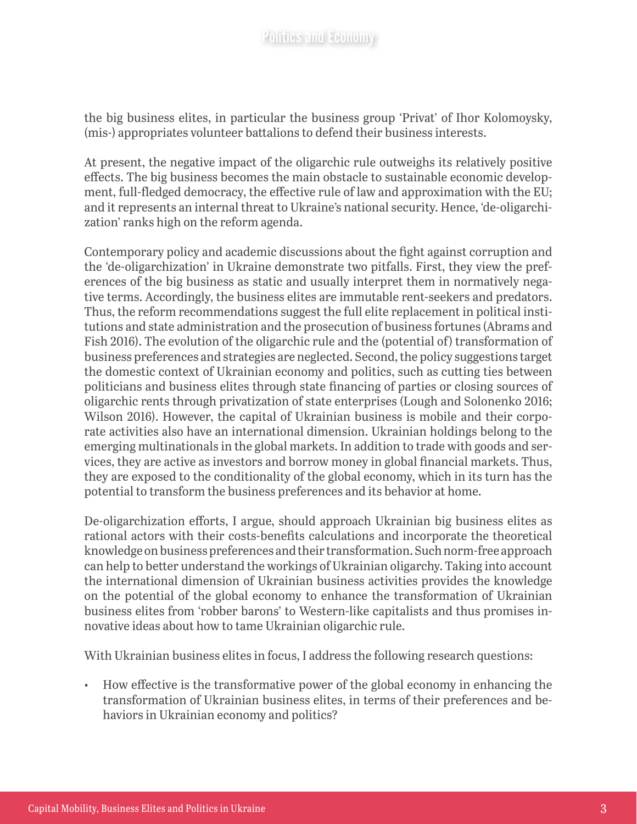the big business elites, in particular the business group 'Privat' of Ihor Kolomoysky, (mis-) appropriates volunteer battalions to defend their business interests.

At present, the negative impact of the oligarchic rule outweighs its relatively positive effects. The big business becomes the main obstacle to sustainable economic development, full-fledged democracy, the effective rule of law and approximation with the EU; and it represents an internal threat to Ukraine's national security. Hence, 'de-oligarchization' ranks high on the reform agenda.

Contemporary policy and academic discussions about the fight against corruption and the 'de-oligarchization' in Ukraine demonstrate two pitfalls. First, they view the preferences of the big business as static and usually interpret them in normatively negative terms. Accordingly, the business elites are immutable rent-seekers and predators. Thus, the reform recommendations suggest the full elite replacement in political institutions and state administration and the prosecution of business fortunes (Abrams and Fish 2016). The evolution of the oligarchic rule and the (potential of) transformation of business preferences and strategies are neglected. Second, the policy suggestions target the domestic context of Ukrainian economy and politics, such as cutting ties between politicians and business elites through state financing of parties or closing sources of oligarchic rents through privatization of state enterprises (Lough and Solonenko 2016; Wilson 2016). However, the capital of Ukrainian business is mobile and their corporate activities also have an international dimension. Ukrainian holdings belong to the emerging multinationals in the global markets. In addition to trade with goods and services, they are active as investors and borrow money in global financial markets. Thus, they are exposed to the conditionality of the global economy, which in its turn has the potential to transform the business preferences and its behavior at home.

De-oligarchization efforts, I argue, should approach Ukrainian big business elites as rational actors with their costs-benefits calculations and incorporate the theoretical knowledge on business preferences and their transformation. Such norm-free approach can help to better understand the workings of Ukrainian oligarchy. Taking into account the international dimension of Ukrainian business activities provides the knowledge on the potential of the global economy to enhance the transformation of Ukrainian business elites from 'robber barons' to Western-like capitalists and thus promises innovative ideas about how to tame Ukrainian oligarchic rule.

With Ukrainian business elites in focus, I address the following research questions:

• How effective is the transformative power of the global economy in enhancing the transformation of Ukrainian business elites, in terms of their preferences and behaviors in Ukrainian economy and politics?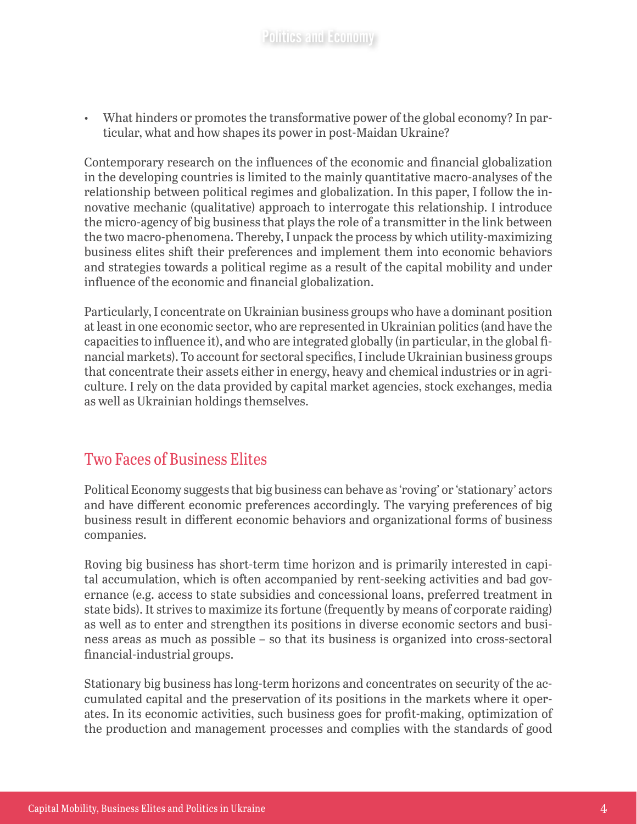• What hinders or promotes the transformative power of the global economy? In particular, what and how shapes its power in post-Maidan Ukraine?

Contemporary research on the influences of the economic and financial globalization in the developing countries is limited to the mainly quantitative macro-analyses of the relationship between political regimes and globalization. In this paper, I follow the innovative mechanic (qualitative) approach to interrogate this relationship. I introduce the micro-agency of big business that plays the role of a transmitter in the link between the two macro-phenomena. Thereby, I unpack the process by which utility-maximizing business elites shift their preferences and implement them into economic behaviors and strategies towards a political regime as a result of the capital mobility and under influence of the economic and financial globalization.

Particularly, I concentrate on Ukrainian business groups who have a dominant position at least in one economic sector, who are represented in Ukrainian politics (and have the capacities to influence it), and who are integrated globally (in particular, in the global financial markets). To account for sectoral specifics, I include Ukrainian business groups that concentrate their assets either in energy, heavy and chemical industries or in agriculture. I rely on the data provided by capital market agencies, stock exchanges, media as well as Ukrainian holdings themselves.

#### Two Faces of Business Elites

Political Economy suggests that big business can behave as 'roving' or 'stationary' actors and have different economic preferences accordingly. The varying preferences of big business result in different economic behaviors and organizational forms of business companies.

Roving big business has short-term time horizon and is primarily interested in capital accumulation, which is often accompanied by rent-seeking activities and bad governance (e.g. access to state subsidies and concessional loans, preferred treatment in state bids). It strives to maximize its fortune (frequently by means of corporate raiding) as well as to enter and strengthen its positions in diverse economic sectors and business areas as much as possible – so that its business is organized into cross-sectoral financial-industrial groups.

Stationary big business has long-term horizons and concentrates on security of the accumulated capital and the preservation of its positions in the markets where it operates. In its economic activities, such business goes for profit-making, optimization of the production and management processes and complies with the standards of good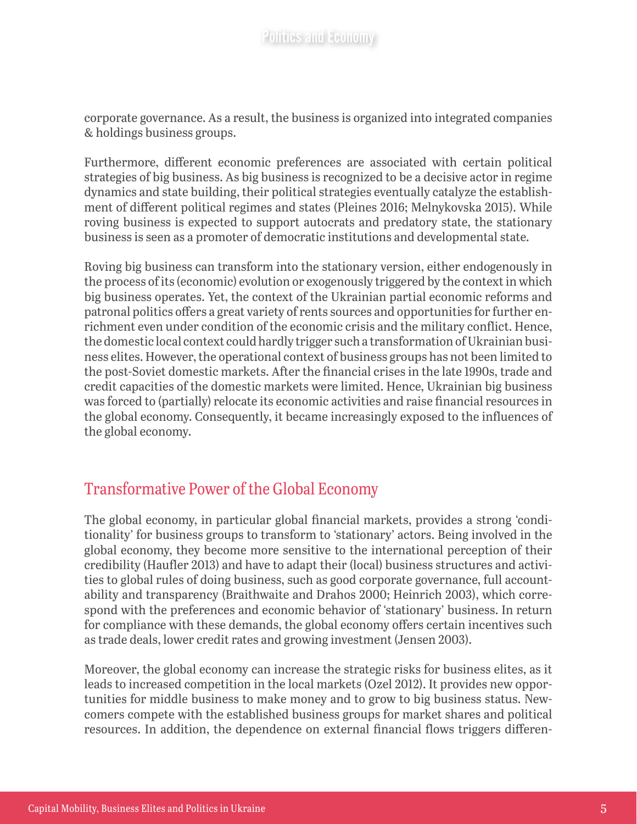corporate governance. As a result, the business is organized into integrated companies & holdings business groups.

Furthermore, different economic preferences are associated with certain political strategies of big business. As big business is recognized to be a decisive actor in regime dynamics and state building, their political strategies eventually catalyze the establishment of different political regimes and states (Pleines 2016; Melnykovska 2015). While roving business is expected to support autocrats and predatory state, the stationary business is seen as a promoter of democratic institutions and developmental state.

Roving big business can transform into the stationary version, either endogenously in the process of its (economic) evolution or exogenously triggered by the context in which big business operates. Yet, the context of the Ukrainian partial economic reforms and patronal politics offers a great variety of rents sources and opportunities for further enrichment even under condition of the economic crisis and the military conflict. Hence, the domestic local context could hardly trigger such a transformation of Ukrainian business elites. However, the operational context of business groups has not been limited to the post-Soviet domestic markets. After the financial crises in the late 1990s, trade and credit capacities of the domestic markets were limited. Hence, Ukrainian big business was forced to (partially) relocate its economic activities and raise financial resources in the global economy. Consequently, it became increasingly exposed to the influences of the global economy.

#### Transformative Power of the Global Economy

The global economy, in particular global financial markets, provides a strong 'conditionality' for business groups to transform to 'stationary' actors. Being involved in the global economy, they become more sensitive to the international perception of their credibility (Haufler 2013) and have to adapt their (local) business structures and activities to global rules of doing business, such as good corporate governance, full accountability and transparency (Braithwaite and Drahos 2000; Heinrich 2003), which correspond with the preferences and economic behavior of 'stationary' business. In return for compliance with these demands, the global economy offers certain incentives such as trade deals, lower credit rates and growing investment (Jensen 2003).

Moreover, the global economy can increase the strategic risks for business elites, as it leads to increased competition in the local markets (Ozel 2012). It provides new opportunities for middle business to make money and to grow to big business status. Newcomers compete with the established business groups for market shares and political resources. In addition, the dependence on external financial flows triggers differen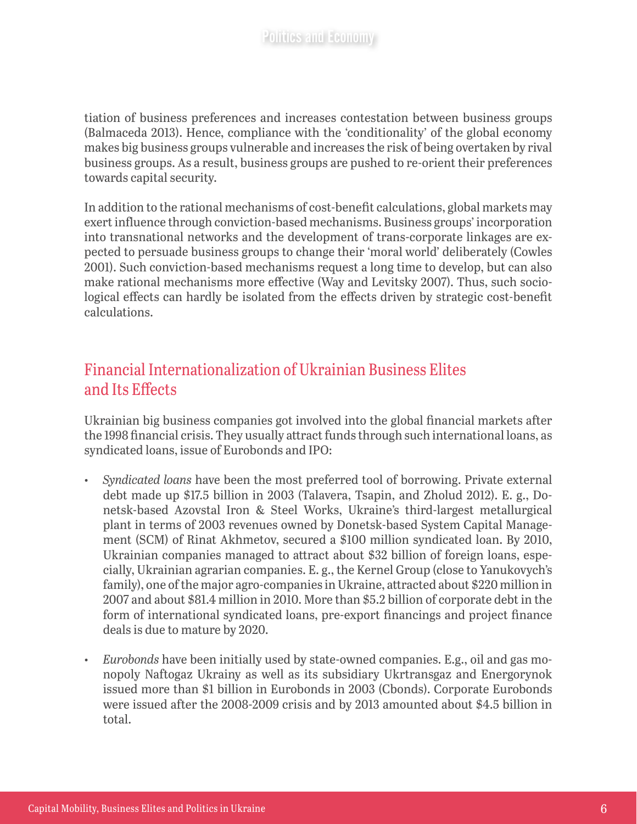tiation of business preferences and increases contestation between business groups (Balmaceda 2013). Hence, compliance with the 'conditionality' of the global economy makes big business groups vulnerable and increases the risk of being overtaken by rival business groups. As a result, business groups are pushed to re-orient their preferences towards capital security.

In addition to the rational mechanisms of cost-benefit calculations, global markets may exert influence through conviction-based mechanisms. Business groups' incorporation into transnational networks and the development of trans-corporate linkages are expected to persuade business groups to change their 'moral world' deliberately (Cowles 2001). Such conviction-based mechanisms request a long time to develop, but can also make rational mechanisms more effective (Way and Levitsky 2007). Thus, such sociological effects can hardly be isolated from the effects driven by strategic cost-benefit calculations.

#### Financial Internationalization of Ukrainian Business Elites and Its Effects

Ukrainian big business companies got involved into the global financial markets after the 1998 financial crisis. They usually attract funds through such international loans, as syndicated loans, issue of Eurobonds and IPO:

- *Syndicated loans* have been the most preferred tool of borrowing. Private external debt made up \$17.5 billion in 2003 (Talavera, Tsapin, and Zholud 2012). E. g., Donetsk-based Azovstal Iron & Steel Works, Ukraine's third-largest metallurgical plant in terms of 2003 revenues owned by Donetsk-based System Capital Management (SCM) of Rinat Akhmetov, secured a \$100 million syndicated loan. By 2010, Ukrainian companies managed to attract about \$32 billion of foreign loans, especially, Ukrainian agrarian companies. E. g., the Kernel Group (close to Yanukovych's family), one of the major agro-companies in Ukraine, attracted about \$220 million in 2007 and about \$81.4 million in 2010. More than \$5.2 billion of corporate debt in the form of international syndicated loans, pre-export financings and project finance deals is due to mature by 2020.
- *Eurobonds* have been initially used by state-owned companies. E.g., oil and gas monopoly Naftogaz Ukrainy as well as its subsidiary Ukrtransgaz and Energorynok issued more than \$1 billion in Eurobonds in 2003 (Cbonds). Corporate Eurobonds were issued after the 2008-2009 crisis and by 2013 amounted about \$4.5 billion in total.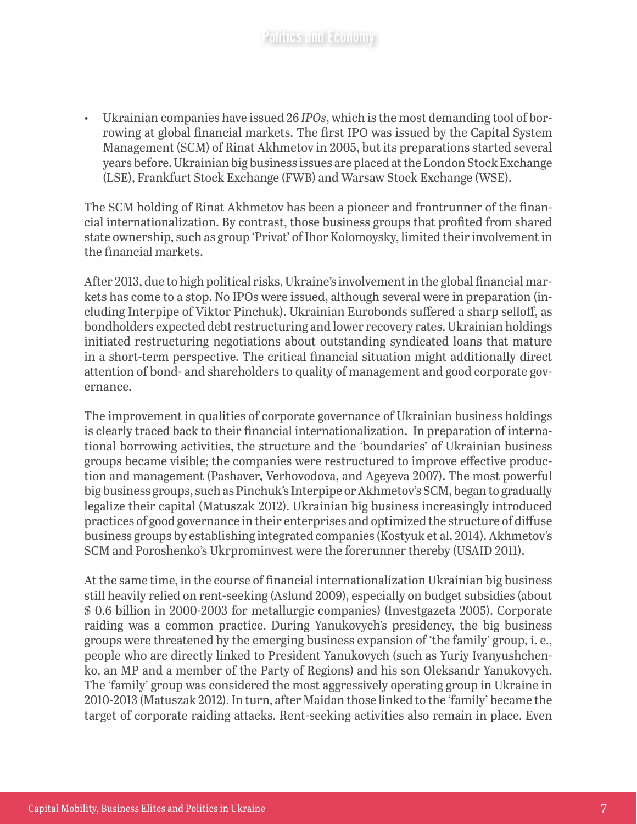• Ukrainian companies have issued 26 *IPOs*, which is the most demanding tool of borrowing at global financial markets. The first IPO was issued by the Capital System Management (SCM) of Rinat Akhmetov in 2005, but its preparations started several years before. Ukrainian big business issues are placed at the London Stock Exchange (LSE), Frankfurt Stock Exchange (FWB) and Warsaw Stock Exchange (WSE).

The SCM holding of Rinat Akhmetov has been a pioneer and frontrunner of the financial internationalization. By contrast, those business groups that profited from shared state ownership, such as group 'Privat' of Ihor Kolomoysky, limited their involvement in the financial markets.

After 2013, due to high political risks, Ukraine's involvement in the global financial markets has come to a stop. No IPOs were issued, although several were in preparation (including Interpipe of Viktor Pinchuk). Ukrainian Eurobonds suffered a sharp selloff, as bondholders expected debt restructuring and lower recovery rates. Ukrainian holdings initiated restructuring negotiations about outstanding syndicated loans that mature in a short-term perspective. The critical financial situation might additionally direct attention of bond- and shareholders to quality of management and good corporate governance.

The improvement in qualities of corporate governance of Ukrainian business holdings is clearly traced back to their financial internationalization. In preparation of international borrowing activities, the structure and the 'boundaries' of Ukrainian business groups became visible; the companies were restructured to improve effective production and management (Pashaver, Verhovodova, and Ageyeva 2007). The most powerful big business groups, such as Pinchuk's Interpipe or Akhmetov's SCM, began to gradually legalize their capital (Matuszak 2012). Ukrainian big business increasingly introduced practices of good governance in their enterprises and optimized the structure of diffuse business groups by establishing integrated companies (Kostyuk et al. 2014). Akhmetov's SCM and Poroshenko's Ukrprominvest were the forerunner thereby (USAID 2011).

At the same time, in the course of financial internationalization Ukrainian big business still heavily relied on rent-seeking (Aslund 2009), especially on budget subsidies (about \$ 0.6 billion in 2000-2003 for metallurgic companies) (Investgazeta 2005). Corporate raiding was a common practice. During Yanukovych's presidency, the big business groups were threatened by the emerging business expansion of 'the family' group, i. e., people who are directly linked to President Yanukovych (such as Yuriy Ivanyushchenko, an MP and a member of the Party of Regions) and his son Oleksandr Yanukovych. The 'family' group was considered the most aggressively operating group in Ukraine in 2010-2013 (Matuszak 2012). In turn, after Maidan those linked to the 'family' became the target of corporate raiding attacks. Rent-seeking activities also remain in place. Even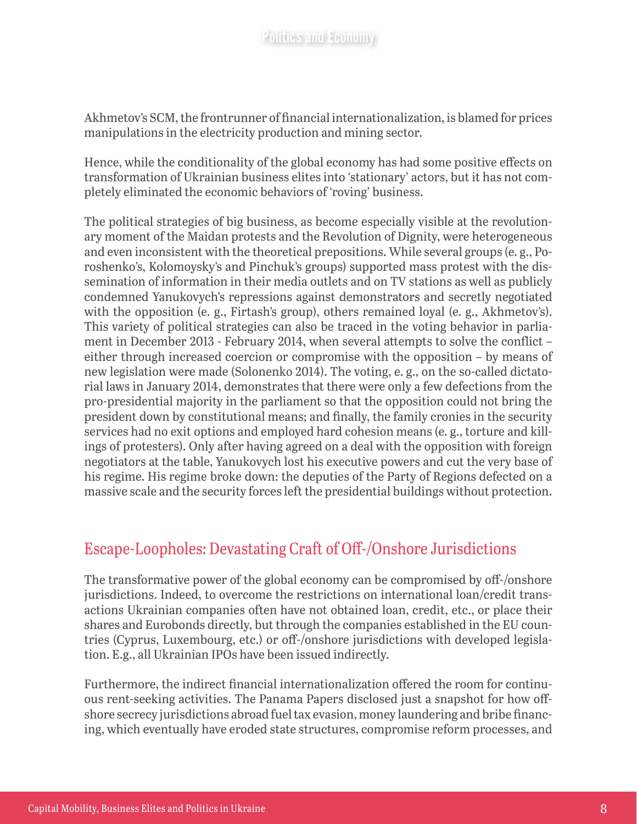Akhmetov's SCM, the frontrunner of financial internationalization, is blamed for prices manipulations in the electricity production and mining sector.

Hence, while the conditionality of the global economy has had some positive effects on transformation of Ukrainian business elites into 'stationary' actors, but it has not completely eliminated the economic behaviors of 'roving' business.

The political strategies of big business, as become especially visible at the revolutionary moment of the Maidan protests and the Revolution of Dignity, were heterogeneous and even inconsistent with the theoretical prepositions. While several groups (e. g., Poroshenko's, Kolomoysky's and Pinchuk's groups) supported mass protest with the dissemination of information in their media outlets and on TV stations as well as publicly condemned Yanukovych's repressions against demonstrators and secretly negotiated with the opposition (e. g., Firtash's group), others remained loyal (e. g., Akhmetov's). This variety of political strategies can also be traced in the voting behavior in parliament in December 2013 - February 2014, when several attempts to solve the conflict – either through increased coercion or compromise with the opposition – by means of new legislation were made (Solonenko 2014). The voting, e. g., on the so-called dictatorial laws in January 2014, demonstrates that there were only a few defections from the pro-presidential majority in the parliament so that the opposition could not bring the president down by constitutional means; and finally, the family cronies in the security services had no exit options and employed hard cohesion means (e. g., torture and killings of protesters). Only after having agreed on a deal with the opposition with foreign negotiators at the table, Yanukovych lost his executive powers and cut the very base of his regime. His regime broke down: the deputies of the Party of Regions defected on a massive scale and the security forces left the presidential buildings without protection.

#### Escape-Loopholes: Devastating Craft of Off-/Onshore Jurisdictions

The transformative power of the global economy can be compromised by off-/onshore jurisdictions. Indeed, to overcome the restrictions on international loan/credit transactions Ukrainian companies often have not obtained loan, credit, etc., or place their shares and Eurobonds directly, but through the companies established in the EU countries (Cyprus, Luxembourg, etc.) or off-/onshore jurisdictions with developed legislation. E.g., all Ukrainian IPOs have been issued indirectly.

Furthermore, the indirect financial internationalization offered the room for continuous rent-seeking activities. The Panama Papers disclosed just a snapshot for how offshore secrecy jurisdictions abroad fuel tax evasion, money laundering and bribe financing, which eventually have eroded state structures, compromise reform processes, and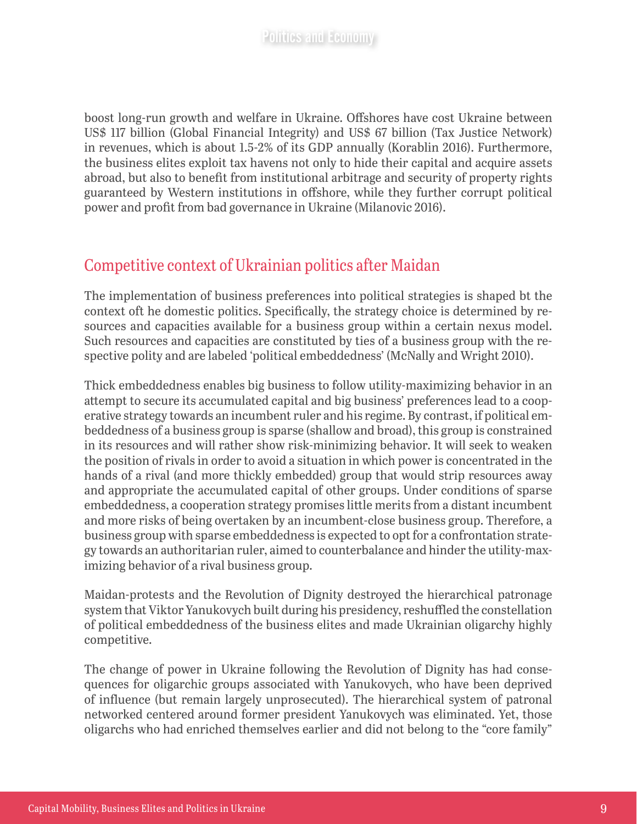boost long-run growth and welfare in Ukraine. Offshores have cost Ukraine between US\$ 117 billion (Global Financial Integrity) and US\$ 67 billion (Tax Justice Network) in revenues, which is about 1.5-2% of its GDP annually (Korablin 2016). Furthermore, the business elites exploit tax havens not only to hide their capital and acquire assets abroad, but also to benefit from institutional arbitrage and security of property rights guaranteed by Western institutions in offshore, while they further corrupt political power and profit from bad governance in Ukraine (Milanovic 2016).

#### Competitive context of Ukrainian politics after Maidan

The implementation of business preferences into political strategies is shaped bt the context oft he domestic politics. Specifically, the strategy choice is determined by resources and capacities available for a business group within a certain nexus model. Such resources and capacities are constituted by ties of a business group with the respective polity and are labeled 'political embeddedness' (McNally and Wright 2010).

Thick embeddedness enables big business to follow utility-maximizing behavior in an attempt to secure its accumulated capital and big business' preferences lead to a cooperative strategy towards an incumbent ruler and his regime. By contrast, if political embeddedness of a business group is sparse (shallow and broad), this group is constrained in its resources and will rather show risk-minimizing behavior. It will seek to weaken the position of rivals in order to avoid a situation in which power is concentrated in the hands of a rival (and more thickly embedded) group that would strip resources away and appropriate the accumulated capital of other groups. Under conditions of sparse embeddedness, a cooperation strategy promises little merits from a distant incumbent and more risks of being overtaken by an incumbent-close business group. Therefore, a business group with sparse embeddedness is expected to opt for a confrontation strategy towards an authoritarian ruler, aimed to counterbalance and hinder the utility-maximizing behavior of a rival business group.

Maidan-protests and the Revolution of Dignity destroyed the hierarchical patronage system that Viktor Yanukovych built during his presidency, reshuffled the constellation of political embeddedness of the business elites and made Ukrainian oligarchy highly competitive.

The change of power in Ukraine following the Revolution of Dignity has had consequences for oligarchic groups associated with Yanukovych, who have been deprived of influence (but remain largely unprosecuted). The hierarchical system of patronal networked centered around former president Yanukovych was eliminated. Yet, those oligarchs who had enriched themselves earlier and did not belong to the "core family"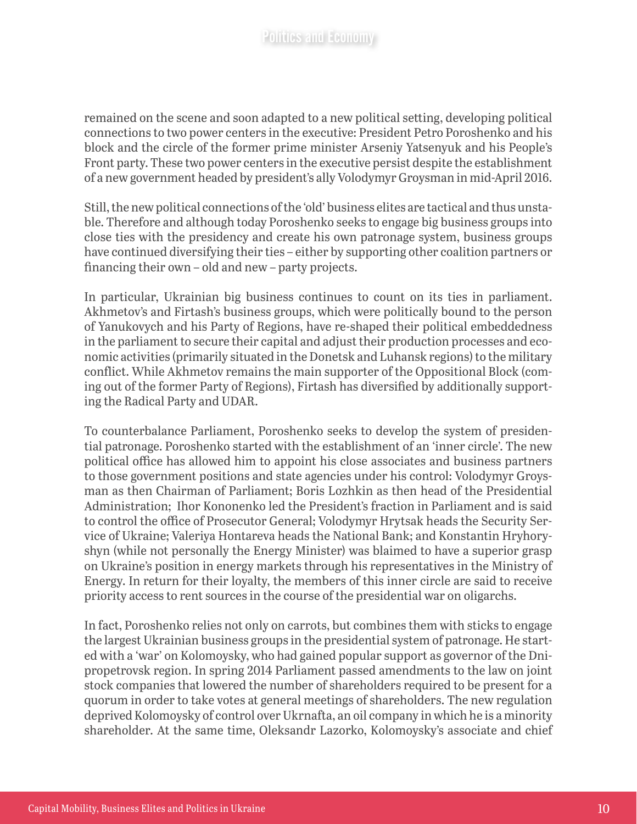remained on the scene and soon adapted to a new political setting, developing political connections to two power centers in the executive: President Petro Poroshenko and his block and the circle of the former prime minister Arseniy Yatsenyuk and his People's Front party. These two power centers in the executive persist despite the establishment of a new government headed by president's ally Volodymyr Groysman in mid-April 2016.

Still, the new political connections of the 'old' business elites are tactical and thus unstable. Therefore and although today Poroshenko seeks to engage big business groups into close ties with the presidency and create his own patronage system, business groups have continued diversifying their ties – either by supporting other coalition partners or financing their own – old and new – party projects.

In particular, Ukrainian big business continues to count on its ties in parliament. Akhmetov's and Firtash's business groups, which were politically bound to the person of Yanukovych and his Party of Regions, have re-shaped their political embeddedness in the parliament to secure their capital and adjust their production processes and economic activities (primarily situated in the Donetsk and Luhansk regions) to the military conflict. While Akhmetov remains the main supporter of the Oppositional Block (coming out of the former Party of Regions), Firtash has diversified by additionally supporting the Radical Party and UDAR.

To counterbalance Parliament, Poroshenko seeks to develop the system of presidential patronage. Poroshenko started with the establishment of an 'inner circle'. The new political office has allowed him to appoint his close associates and business partners to those government positions and state agencies under his control: Volodymyr Groysman as then Chairman of Parliament; Boris Lozhkin as then head of the Presidential Administration; Ihor Kononenko led the President's fraction in Parliament and is said to control the office of Prosecutor General; Volodymyr Hrytsak heads the Security Service of Ukraine; Valeriya Hontareva heads the National Bank; and Konstantin Hryhoryshyn (while not personally the Energy Minister) was blaimed to have a superior grasp on Ukraine's position in energy markets through his representatives in the Ministry of Energy. In return for their loyalty, the members of this inner circle are said to receive priority access to rent sources in the course of the presidential war on oligarchs.

In fact, Poroshenko relies not only on carrots, but combines them with sticks to engage the largest Ukrainian business groups in the presidential system of patronage. He started with a 'war' on Kolomoysky, who had gained popular support as governor of the Dnipropetrovsk region. In spring 2014 Parliament passed amendments to the law on joint stock companies that lowered the number of shareholders required to be present for a quorum in order to take votes at general meetings of shareholders. The new regulation deprived Kolomoysky of control over Ukrnafta, an oil company in which he is a minority shareholder. At the same time, Oleksandr Lazorko, Kolomoysky's associate and chief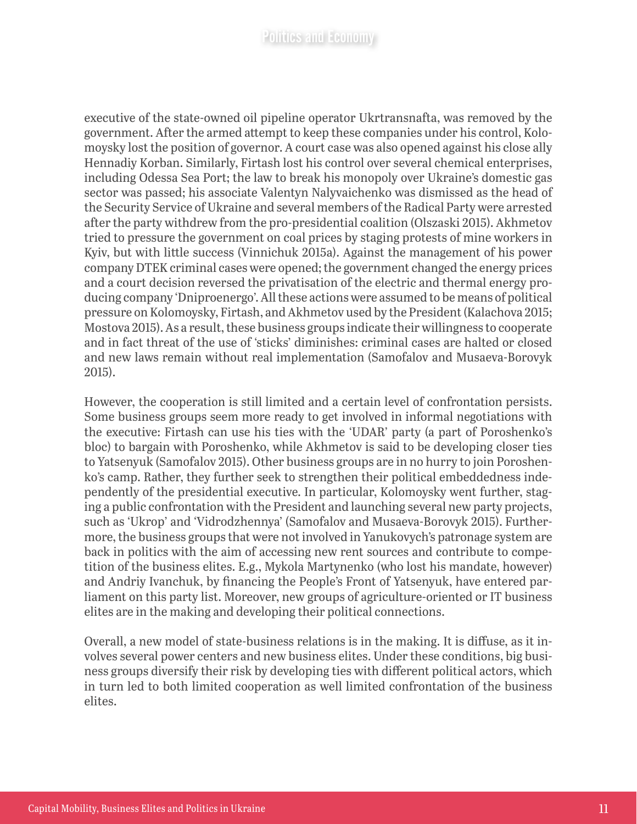executive of the state-owned oil pipeline operator Ukrtransnafta, was removed by the government. After the armed attempt to keep these companies under his control, Kolomoysky lost the position of governor. A court case was also opened against his close ally Hennadiy Korban. Similarly, Firtash lost his control over several chemical enterprises, including Odessa Sea Port; the law to break his monopoly over Ukraine's domestic gas sector was passed; his associate Valentyn Nalyvaichenko was dismissed as the head of the Security Service of Ukraine and several members of the Radical Party were arrested after the party withdrew from the pro-presidential coalition (Olszaski 2015). Akhmetov tried to pressure the government on coal prices by staging protests of mine workers in Kyiv, but with little success (Vinnichuk 2015a). Against the management of his power company DTEK criminal cases were opened; the government changed the energy prices and a court decision reversed the privatisation of the electric and thermal energy producing company 'Dniproenergo'. All these actions were assumed to be means of political pressure on Kolomoysky, Firtash, and Akhmetov used by the President (Kalachova 2015; Mostova 2015). As a result, these business groups indicate their willingness to cooperate and in fact threat of the use of 'sticks' diminishes: criminal cases are halted or closed and new laws remain without real implementation (Samofalov and Musaeva-Borovyk 2015).

However, the cooperation is still limited and a certain level of confrontation persists. Some business groups seem more ready to get involved in informal negotiations with the executive: Firtash can use his ties with the 'UDAR' party (a part of Poroshenko's bloc) to bargain with Poroshenko, while Akhmetov is said to be developing closer ties to Yatsenyuk (Samofalov 2015). Other business groups are in no hurry to join Poroshenko's camp. Rather, they further seek to strengthen their political embeddedness independently of the presidential executive. In particular, Kolomoysky went further, staging a public confrontation with the President and launching several new party projects, such as 'Ukrop' and 'Vidrodzhennya' (Samofalov and Musaeva-Borovyk 2015). Furthermore, the business groups that were not involved in Yanukovych's patronage system are back in politics with the aim of accessing new rent sources and contribute to competition of the business elites. E.g., Mykola Martynenko (who lost his mandate, however) and Andriy Ivanchuk, by financing the People's Front of Yatsenyuk, have entered parliament on this party list. Moreover, new groups of agriculture-oriented or IT business elites are in the making and developing their political connections.

Overall, a new model of state-business relations is in the making. It is diffuse, as it involves several power centers and new business elites. Under these conditions, big business groups diversify their risk by developing ties with different political actors, which in turn led to both limited cooperation as well limited confrontation of the business elites.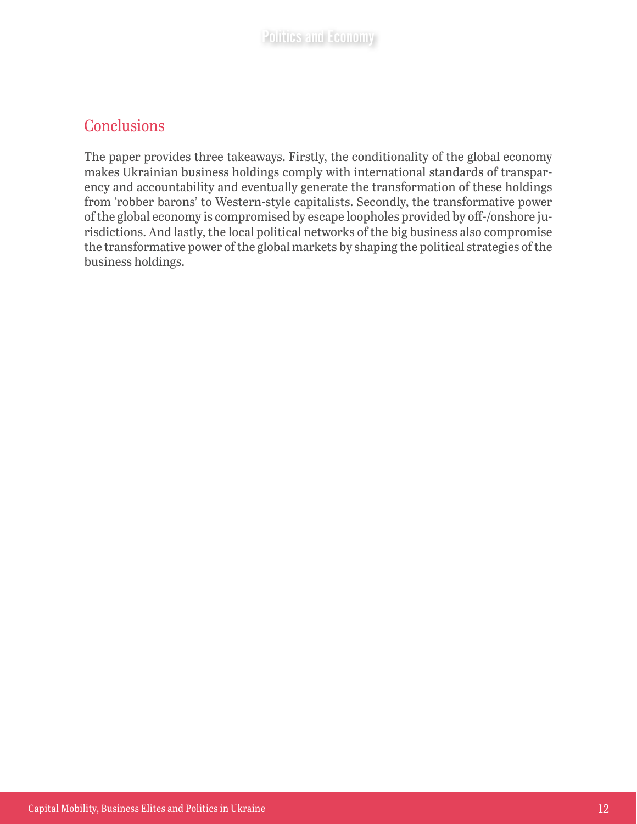#### **Conclusions**

The paper provides three takeaways. Firstly, the conditionality of the global economy makes Ukrainian business holdings comply with international standards of transparency and accountability and eventually generate the transformation of these holdings from 'robber barons' to Western-style capitalists. Secondly, the transformative power of the global economy is compromised by escape loopholes provided by off-/onshore jurisdictions. And lastly, the local political networks of the big business also compromise the transformative power of the global markets by shaping the political strategies of the business holdings.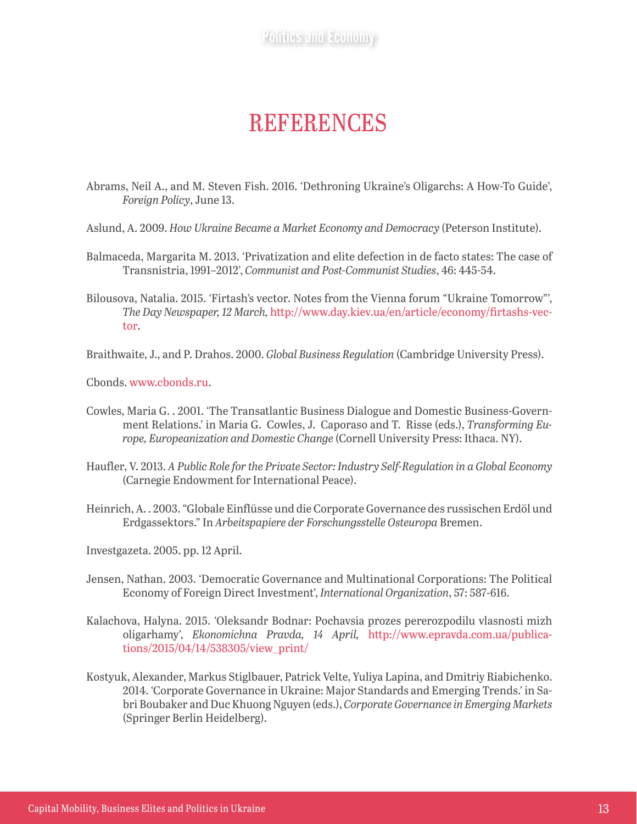## **REFERENCES**

- Abrams, Neil A., and M. Steven Fish. 2016. 'Dethroning Ukraine's Oligarchs: A How-To Guide', *Foreign Policy*, June 13.
- Aslund, A. 2009. *How Ukraine Became a Market Economy and Democracy* (Peterson Institute).
- Balmaceda, Margarita M. 2013. 'Privatization and elite defection in de facto states: The case of Transnistria, 1991–2012', *Communist and Post-Communist Studies*, 46: 445-54.
- Bilousova, Natalia. 2015. 'Firtash's vector. Notes from the Vienna forum "Ukraine Tomorrow"', *The Day Newspaper, 12 March,* http://www.day.kiev.ua/en/article/economy/firtashs-vector.
- Braithwaite, J., and P. Drahos. 2000. *Global Business Regulation* (Cambridge University Press).

Cbonds. [www.cbonds.ru](http://www.cbonds.ru).

- Cowles, Maria G. . 2001. 'The Transatlantic Business Dialogue and Domestic Business-Government Relations.' in Maria G. Cowles, J. Caporaso and T. Risse (eds.), *Transforming Europe, Europeanization and Domestic Change* (Cornell University Press: Ithaca. NY).
- Haufler, V. 2013. *A Public Role for the Private Sector: Industry Self-Regulation in a Global Economy* (Carnegie Endowment for International Peace).
- Heinrich, A. . 2003. "Globale Einflüsse und die Corporate Governance des russischen Erdöl und Erdgassektors." In *Arbeitspapiere der Forschungsstelle Osteuropa* Bremen.
- Investgazeta. 2005. pp. 12 April.
- Jensen, Nathan. 2003. 'Democratic Governance and Multinational Corporations: The Political Economy of Foreign Direct Investment', *International Organization*, 57: 587-616.
- Kalachova, Halyna. 2015. 'Oleksandr Bodnar: Pochavsia prozes pererozpodilu vlasnosti mizh oligarhamy', *Ekonomichna Pravda, 14 April,* [http://www.epravda.com.ua/publica](http://www.epravda.com.ua/publications/2015/04/14/538305/view_print/)[tions/2015/04/14/538305/view\\_print/](http://www.epravda.com.ua/publications/2015/04/14/538305/view_print/)
- Kostyuk, Alexander, Markus Stiglbauer, Patrick Velte, Yuliya Lapina, and Dmitriy Riabichenko. 2014. 'Corporate Governance in Ukraine: Major Standards and Emerging Trends.' in Sabri Boubaker and Duc Khuong Nguyen (eds.), *Corporate Governance in Emerging Markets* (Springer Berlin Heidelberg).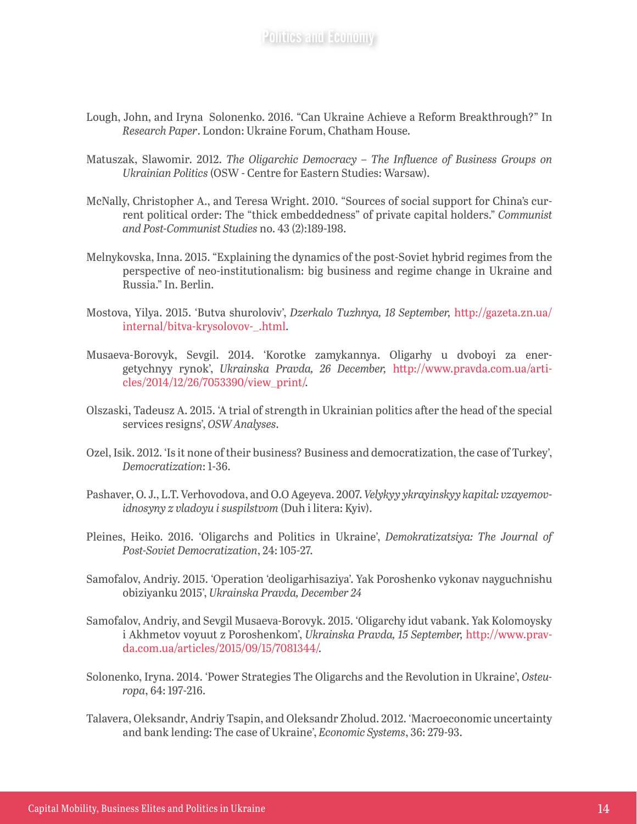- Lough, John, and Iryna Solonenko. 2016. "Can Ukraine Achieve a Reform Breakthrough?" In *Research Paper*. London: Ukraine Forum, Chatham House.
- Matuszak, Slawomir. 2012. *The Oligarchic Democracy The Influence of Business Groups on Ukrainian Politics* (OSW - Centre for Eastern Studies: Warsaw).
- McNally, Christopher A., and Teresa Wright. 2010. "Sources of social support for China's current political order: The "thick embeddedness" of private capital holders." *Communist and Post-Communist Studies* no. 43 (2):189-198.
- Melnykovska, Inna. 2015. "Explaining the dynamics of the post-Soviet hybrid regimes from the perspective of neo-institutionalism: big business and regime change in Ukraine and Russia." In. Berlin.
- Mostova, Yilya. 2015. 'Butva shuroloviv', *Dzerkalo Tuzhnya, 18 September,* [http://gazeta.zn.ua/](http://gazeta.zn.ua/internal/bitva-krysolovov-_.html) [internal/bitva-krysolovov-\\_.html.](http://gazeta.zn.ua/internal/bitva-krysolovov-_.html)
- Musaeva-Borovyk, Sevgil. 2014. 'Korotke zamykannya. Oligarhy u dvoboyi za energetychnyy rynok', *Ukrainska Pravda, 26 December,* [http://www.pravda.com.ua/arti](http://www.pravda.com.ua/articles/2014/12/26/7053390/view_print/)[cles/2014/12/26/7053390/view\\_print/](http://www.pravda.com.ua/articles/2014/12/26/7053390/view_print/).
- Olszaski, Tadeusz A. 2015. 'A trial of strength in Ukrainian politics after the head of the special services resigns', *OSW Analyses*.
- Ozel, Isik. 2012. 'Is it none of their business? Business and democratization, the case of Turkey', *Democratization*: 1-36.
- Pashaver, O. J., L.T. Verhovodova, and O.O Ageyeva. 2007. *Velykyy ykrayinskyy kapital: vzayemovidnosyny z vladoyu i suspilstvom* (Duh i litera: Kyiv).
- Pleines, Heiko. 2016. 'Oligarchs and Politics in Ukraine', *Demokratizatsiya: The Journal of Post-Soviet Democratization*, 24: 105-27.
- Samofalov, Andriy. 2015. 'Operation 'deoligarhisaziya'. Yak Poroshenko vykonav nayguchnishu obiziyanku 2015', *Ukrainska Pravda, December 24*
- Samofalov, Andriy, and Sevgil Musaeva-Borovyk. 2015. 'Oligarchy idut vabank. Yak Kolomoysky i Akhmetov voyuut z Poroshenkom', *Ukrainska Pravda, 15 September,* [http://www.prav](http://www.pravda.com.ua/articles/2015/09/15/7081344/)[da.com.ua/articles/2015/09/15/7081344/](http://www.pravda.com.ua/articles/2015/09/15/7081344/).
- Solonenko, Iryna. 2014. 'Power Strategies The Oligarchs and the Revolution in Ukraine', *Osteuropa*, 64: 197-216.
- Talavera, Oleksandr, Andriy Tsapin, and Oleksandr Zholud. 2012. 'Macroeconomic uncertainty and bank lending: The case of Ukraine', *Economic Systems*, 36: 279-93.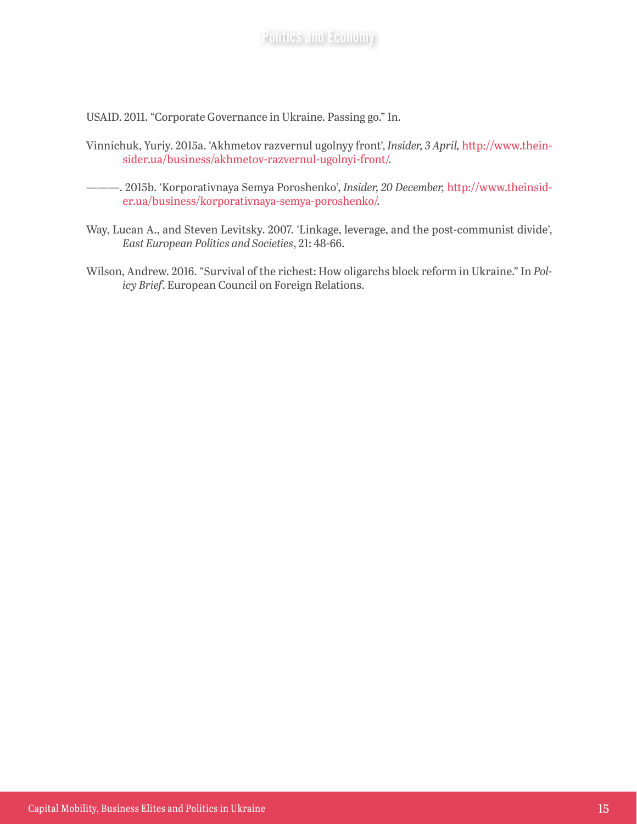USAID. 2011. "Corporate Governance in Ukraine. Passing go." In.

- Vinnichuk, Yuriy. 2015a. 'Akhmetov razvernul ugolnyy front', *Insider, 3 April,* [http://www.thein](http://www.theinsider.ua/business/akhmetov-razvernul-ugolnyi-front/)[sider.ua/business/akhmetov-razvernul-ugolnyi-front/](http://www.theinsider.ua/business/akhmetov-razvernul-ugolnyi-front/).
- ———. 2015b. 'Korporativnaya Semya Poroshenko', *Insider, 20 December,* [http://www.theinsid](http://www.theinsider.ua/business/korporativnaya-semya-poroshenko/)[er.ua/business/korporativnaya-semya-poroshenko/](http://www.theinsider.ua/business/korporativnaya-semya-poroshenko/).
- Way, Lucan A., and Steven Levitsky. 2007. 'Linkage, leverage, and the post-communist divide', *East European Politics and Societies*, 21: 48-66.
- Wilson, Andrew. 2016. "Survival of the richest: How oligarchs block reform in Ukraine." In *Policy Brief*. European Council on Foreign Relations.